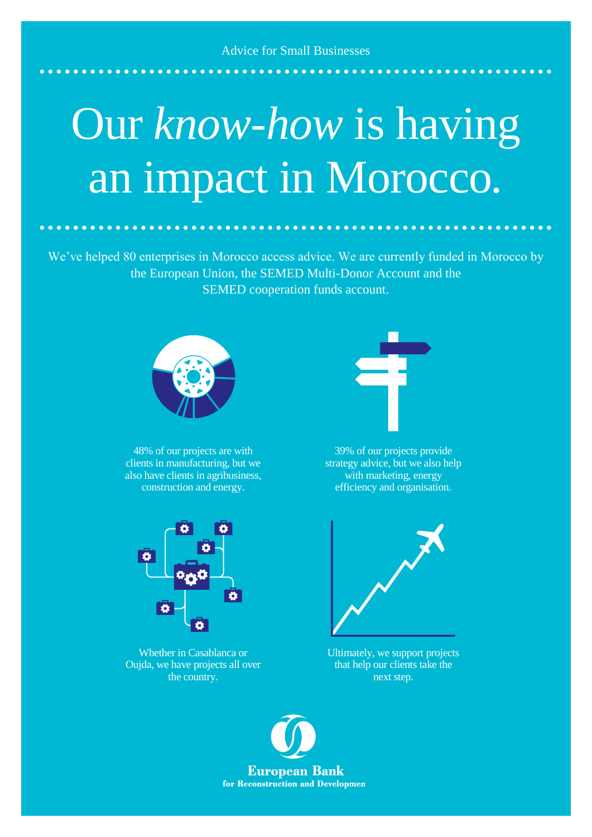Advice for Small Businesses

## Our *know-how* is having an impact in Morocco*.*

We've helped 80 enterprises in Morocco access advice. We are currently funded in Morocco by the European Union, the SEMED Multi-Donor Account and the SEMED cooperation funds account.



**AAAAAAAAA** 

48% of our projects are with clients in manufacturing, but we also have clients in agribusiness, construction and energy.



Whether in Casablanca or Oujda, we have projects all over the country.



39% of our projects provide strategy advice, but we also help with marketing, energy efficiency and organisation.



Ultimately, we support projects that help our clients take the next step.